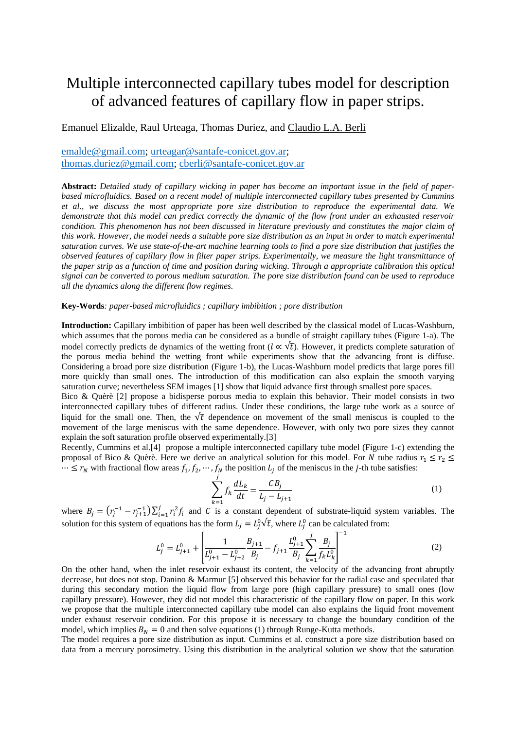## Multiple interconnected capillary tubes model for description of advanced features of capillary flow in paper strips.

Emanuel Elizalde, Raul Urteaga, Thomas Duriez, and Claudio L.A. Berli

## [emalde@gmail.com;](mailto:emalde@gmail.com) [urteagar@santafe-conicet.gov.ar;](mailto:urteagar@santafe-conicet.gov.ar) [thomas.duriez@gmail.com;](mailto:thomas.duriez@gmail.com) [cberli@santafe-conicet.gov.ar](mailto:cberli@santafe-conicet.gov.ar)

**Abstract:** *Detailed study of capillary wicking in paper has become an important issue in the field of paperbased microfluidics. Based on a recent model of multiple interconnected capillary tubes presented by Cummins et al., we discuss the most appropriate pore size distribution to reproduce the experimental data. We demonstrate that this model can predict correctly the dynamic of the flow front under an exhausted reservoir condition. This phenomenon has not been discussed in literature previously and constitutes the major claim of this work. However, the model needs a suitable pore size distribution as an input in order to match experimental saturation curves. We use state-of-the-art machine learning tools to find a pore size distribution that justifies the observed features of capillary flow in filter paper strips. Experimentally, we measure the light transmittance of the paper strip as a function of time and position during wicking. Through a appropriate calibration this optical signal can be converted to porous medium saturation. The pore size distribution found can be used to reproduce all the dynamics along the different flow regimes.*

**Key-Words***: paper-based microfluidics ; capillary imbibition ; pore distribution*

**Introduction:** Capillary imbibition of paper has been well described by the classical model of Lucas-Washburn, which assumes that the porous media can be considered as a bundle of straight capillary tubes (Figure 1-a). The model correctly predicts de dynamics of the wetting front ( $l \propto \sqrt{t}$ ). However, it predicts complete saturation of the porous media behind the wetting front while experiments show that the advancing front is diffuse. Considering a broad pore size distribution (Figure 1-b), the Lucas-Washburn model predicts that large pores fill more quickly than small ones. The introduction of this modification can also explain the smooth varying saturation curve; nevertheless SEM images [1] show that liquid advance first through smallest pore spaces.

Bico & Quèrè [2] propose a bidisperse porous media to explain this behavior. Their model consists in two interconnected capillary tubes of different radius. Under these conditions, the large tube work as a source of liquid for the small one. Then, the  $\sqrt{\tau}$  dependence on movement of the small meniscus is coupled to the movement of the large meniscus with the same dependence. However, with only two pore sizes they cannot explain the soft saturation profile observed experimentally.[3]

Recently, Cummins et al.[4] propose a multiple interconnected capillary tube model (Figure 1-c) extending the proposal of Bico & Quèrè. Here we derive an analytical solution for this model. For N tube radius  $r_1 \le r_2 \le$  $\cdots \le r_N$  with fractional flow areas  $f_1, f_2, \cdots, f_N$  the position  $L_j$  of the meniscus in the j-th tube satisfies:

$$
\sum_{k=1}^{j} f_k \frac{dL_k}{dt} = \frac{CB_j}{L_j - L_{j+1}}
$$
 (1)

where  $B_j = (r_j^{-1} - r_{j+1}^{-1}) \sum_{i=1}^j r_i^2 f_i$  $\sum_{i=1}^{J} r_i^2 f_i$  and C is a constant dependent of substrate-liquid system variables. The solution for this system of equations has the form  $L_j = L_j^0 \sqrt{\tau}$ , where  $L_j^0$  can be calculated from:

$$
L_j^0 = L_{j+1}^0 + \left[ \frac{1}{L_{j+1}^0 - L_{j+2}^0} \frac{B_{j+1}}{B_j} - f_{j+1} \frac{L_{j+1}^0}{B_j} \sum_{k=1}^j \frac{B_j}{f_k L_k^0} \right]^{-1}
$$
(2)

On the other hand, when the inlet reservoir exhaust its content, the velocity of the advancing front abruptly decrease, but does not stop. Danino & Marmur [5] observed this behavior for the radial case and speculated that during this secondary motion the liquid flow from large pore (high capillary pressure) to small ones (low capillary pressure). However, they did not model this characteristic of the capillary flow on paper. In this work we propose that the multiple interconnected capillary tube model can also explains the liquid front movement under exhaust reservoir condition. For this propose it is necessary to change the boundary condition of the model, which implies  $B_N = 0$  and then solve equations (1) through Runge-Kutta methods.

The model requires a pore size distribution as input. Cummins et al. construct a pore size distribution based on data from a mercury porosimetry. Using this distribution in the analytical solution we show that the saturation